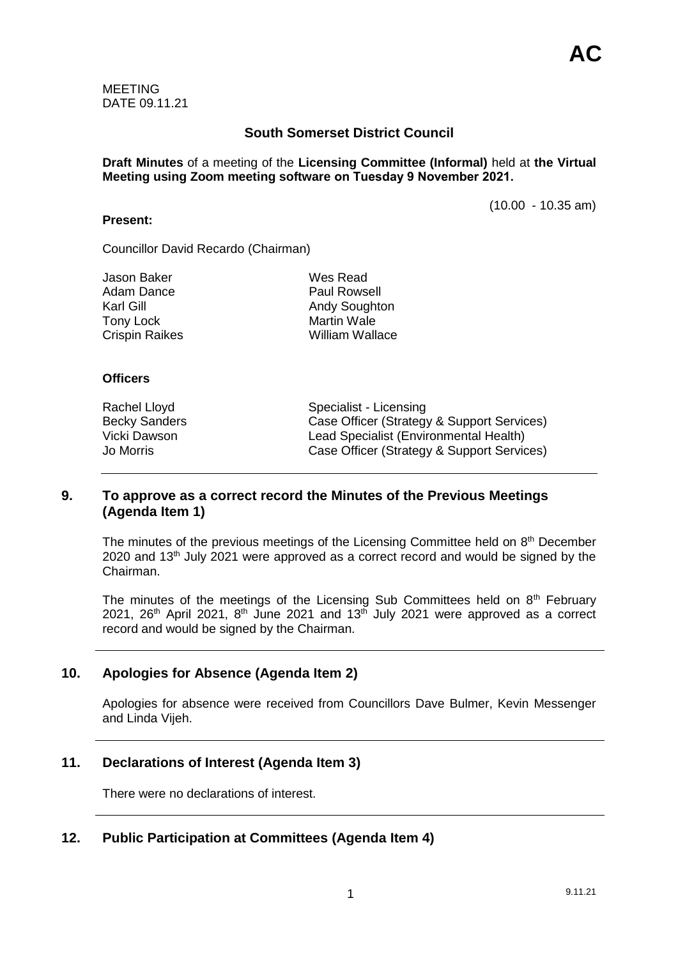MEETING DATE 09.11.21

# **South Somerset District Council**

**Draft Minutes** of a meeting of the **Licensing Committee (Informal)** held at **the Virtual Meeting using Zoom meeting software on Tuesday 9 November 2021.**

(10.00 - 10.35 am)

Councillor David Recardo (Chairman)

| Jason Baker      |  |
|------------------|--|
| Adam Dance       |  |
| Karl Gill        |  |
| <b>Tony Lock</b> |  |
| Crispin Raikes   |  |

Wes Read Paul Rowsell Andy Soughton Martin Wale William Wallace

#### **Officers**

**Present:**

Rachel Lloyd Specialist - Licensing Becky Sanders<br>
Vicki Dawson<br>
Vicki Dawson<br>
Case Officer (Strategy & Support Services)<br>
Lead Specialist (Environmental Health) Lead Specialist (Environmental Health) Jo Morris Case Officer (Strategy & Support Services)

## **9. To approve as a correct record the Minutes of the Previous Meetings (Agenda Item 1)**

The minutes of the previous meetings of the Licensing Committee held on 8<sup>th</sup> December 2020 and 13th July 2021 were approved as a correct record and would be signed by the Chairman.

The minutes of the meetings of the Licensing Sub Committees held on  $8<sup>th</sup>$  February 2021,  $26<sup>th</sup>$  April 2021,  $8<sup>th</sup>$  June 2021 and 13 $<sup>th</sup>$  July 2021 were approved as a correct</sup> record and would be signed by the Chairman.

## **10. Apologies for Absence (Agenda Item 2)**

Apologies for absence were received from Councillors Dave Bulmer, Kevin Messenger and Linda Vijeh.

## **11. Declarations of Interest (Agenda Item 3)**

There were no declarations of interest.

## **12. Public Participation at Committees (Agenda Item 4)**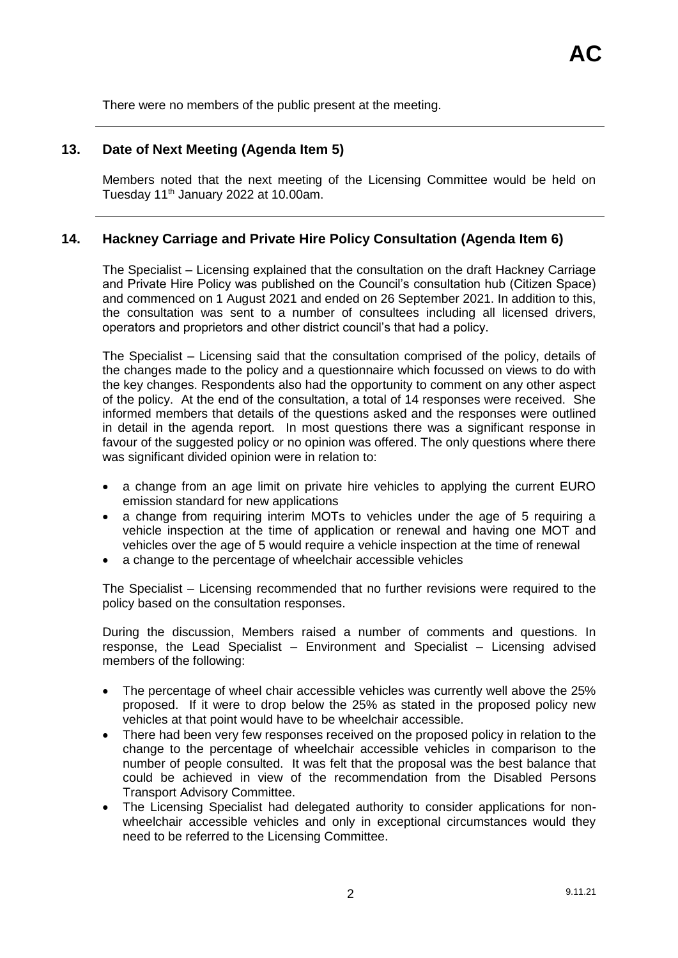There were no members of the public present at the meeting.

# **13. Date of Next Meeting (Agenda Item 5)**

Members noted that the next meeting of the Licensing Committee would be held on Tuesday 11<sup>th</sup> January 2022 at 10.00am.

# **14. Hackney Carriage and Private Hire Policy Consultation (Agenda Item 6)**

The Specialist – Licensing explained that the consultation on the draft Hackney Carriage and Private Hire Policy was published on the Council's consultation hub (Citizen Space) and commenced on 1 August 2021 and ended on 26 September 2021. In addition to this, the consultation was sent to a number of consultees including all licensed drivers, operators and proprietors and other district council's that had a policy.

The Specialist – Licensing said that the consultation comprised of the policy, details of the changes made to the policy and a questionnaire which focussed on views to do with the key changes. Respondents also had the opportunity to comment on any other aspect of the policy. At the end of the consultation, a total of 14 responses were received. She informed members that details of the questions asked and the responses were outlined in detail in the agenda report. In most questions there was a significant response in favour of the suggested policy or no opinion was offered. The only questions where there was significant divided opinion were in relation to:

- a change from an age limit on private hire vehicles to applying the current EURO emission standard for new applications
- a change from requiring interim MOTs to vehicles under the age of 5 requiring a vehicle inspection at the time of application or renewal and having one MOT and vehicles over the age of 5 would require a vehicle inspection at the time of renewal
- a change to the percentage of wheelchair accessible vehicles

The Specialist – Licensing recommended that no further revisions were required to the policy based on the consultation responses.

During the discussion, Members raised a number of comments and questions. In response, the Lead Specialist – Environment and Specialist – Licensing advised members of the following:

- The percentage of wheel chair accessible vehicles was currently well above the 25% proposed. If it were to drop below the 25% as stated in the proposed policy new vehicles at that point would have to be wheelchair accessible.
- There had been very few responses received on the proposed policy in relation to the change to the percentage of wheelchair accessible vehicles in comparison to the number of people consulted. It was felt that the proposal was the best balance that could be achieved in view of the recommendation from the Disabled Persons Transport Advisory Committee.
- The Licensing Specialist had delegated authority to consider applications for nonwheelchair accessible vehicles and only in exceptional circumstances would they need to be referred to the Licensing Committee.